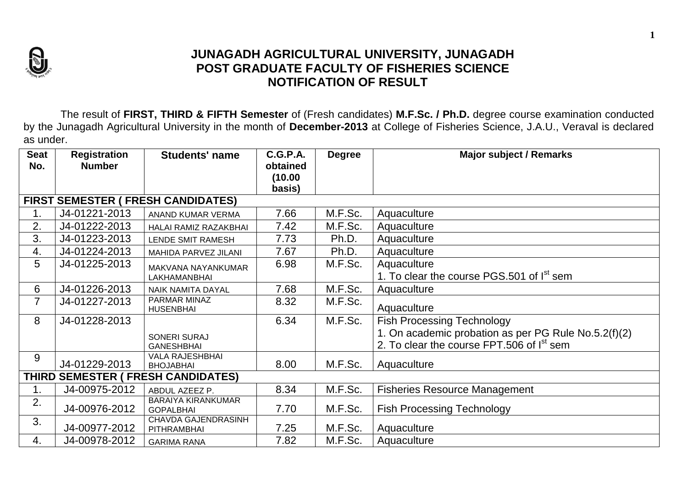

## **JUNAGADH AGRICULTURAL UNIVERSITY, JUNAGADH POST GRADUATE FACULTY OF FISHERIES SCIENCE NOTIFICATION OF RESULT**

The result of **FIRST, THIRD & FIFTH Semester** of (Fresh candidates) **M.F.Sc. / Ph.D.** degree course examination conducted by the Junagadh Agricultural University in the month of **December-2013** at College of Fisheries Science, J.A.U., Veraval is declared as under.

| <b>Seat</b><br>No.                 | <b>Registration</b><br><b>Number</b>      | <b>Students' name</b>                         | C.G.P.A.<br>obtained<br>(10.00) | <b>Degree</b> | <b>Major subject / Remarks</b>                                                                                |  |  |  |  |  |
|------------------------------------|-------------------------------------------|-----------------------------------------------|---------------------------------|---------------|---------------------------------------------------------------------------------------------------------------|--|--|--|--|--|
|                                    |                                           |                                               | basis)                          |               |                                                                                                               |  |  |  |  |  |
|                                    | <b>FIRST SEMESTER ( FRESH CANDIDATES)</b> |                                               |                                 |               |                                                                                                               |  |  |  |  |  |
| 1.                                 | J4-01221-2013                             | ANAND KUMAR VERMA                             | 7.66                            | M.F.Sc.       | Aquaculture                                                                                                   |  |  |  |  |  |
| 2.                                 | J4-01222-2013                             | HALAI RAMIZ RAZAKBHAI                         | 7.42                            | M.F.Sc.       | Aquaculture                                                                                                   |  |  |  |  |  |
| 3.                                 | J4-01223-2013                             | <b>LENDE SMIT RAMESH</b>                      | 7.73                            | Ph.D.         | Aquaculture                                                                                                   |  |  |  |  |  |
| 4.                                 | J4-01224-2013                             | MAHIDA PARVEZ JILANI                          | 7.67                            | Ph.D.         | Aquaculture                                                                                                   |  |  |  |  |  |
| 5                                  | J4-01225-2013                             | <b>MAKVANA NAYANKUMAR</b>                     | 6.98                            | M.F.Sc.       | Aquaculture                                                                                                   |  |  |  |  |  |
|                                    |                                           | LAKHAMANBHAI                                  |                                 |               | 1. To clear the course PGS.501 of I <sup>st</sup> sem                                                         |  |  |  |  |  |
| 6                                  | J4-01226-2013                             | <b>NAIK NAMITA DAYAL</b>                      | 7.68                            | M.F.Sc.       | Aquaculture                                                                                                   |  |  |  |  |  |
| $\overline{7}$                     | J4-01227-2013                             | PARMAR MINAZ<br><b>HUSENBHAI</b>              | 8.32                            | M.F.Sc.       | Aquaculture                                                                                                   |  |  |  |  |  |
| 8                                  | J4-01228-2013                             |                                               | 6.34                            | M.F.Sc.       | <b>Fish Processing Technology</b>                                                                             |  |  |  |  |  |
|                                    |                                           | <b>SONERI SURAJ</b>                           |                                 |               | 1. On academic probation as per PG Rule No.5.2(f)(2)<br>2. To clear the course FPT.506 of I <sup>st</sup> sem |  |  |  |  |  |
|                                    |                                           | <b>GANESHBHAI</b><br><b>VALA RAJESHBHAI</b>   |                                 |               |                                                                                                               |  |  |  |  |  |
| 9                                  | J4-01229-2013                             | <b>BHOJABHAI</b>                              | 8.00                            | M.F.Sc.       | Aquaculture                                                                                                   |  |  |  |  |  |
| THIRD SEMESTER ( FRESH CANDIDATES) |                                           |                                               |                                 |               |                                                                                                               |  |  |  |  |  |
| 1.                                 | J4-00975-2012                             | ABDUL AZEEZ P.                                | 8.34                            | M.F.Sc.       | <b>Fisheries Resource Management</b>                                                                          |  |  |  |  |  |
| 2.                                 | J4-00976-2012                             | <b>BARAIYA KIRANKUMAR</b><br><b>GOPALBHAI</b> | 7.70                            | M.F.Sc.       | <b>Fish Processing Technology</b>                                                                             |  |  |  |  |  |
| 3.                                 | J4-00977-2012                             | <b>CHAVDA GAJENDRASINH</b><br>PITHRAMBHAI     | 7.25                            | M.F.Sc.       | Aquaculture                                                                                                   |  |  |  |  |  |
| 4.                                 | J4-00978-2012                             | <b>GARIMA RANA</b>                            | 7.82                            | M.F.Sc.       | Aquaculture                                                                                                   |  |  |  |  |  |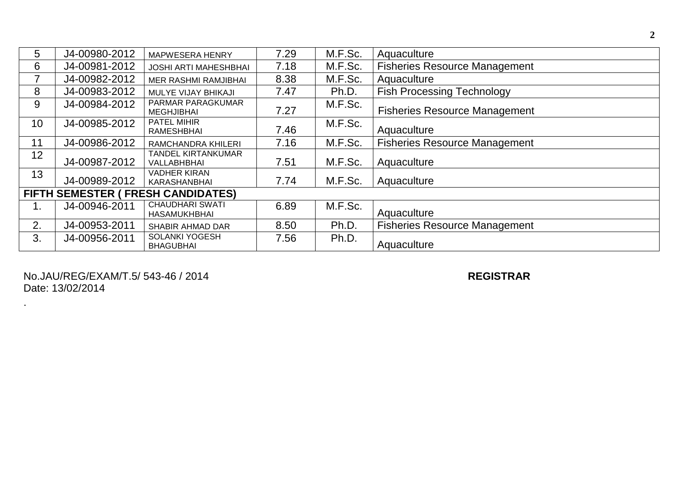| 5                                  | J4-00980-2012 | <b>MAPWESERA HENRY</b>                          | 7.29 | M.F.Sc. | Aquaculture                          |  |  |  |
|------------------------------------|---------------|-------------------------------------------------|------|---------|--------------------------------------|--|--|--|
| 6                                  | J4-00981-2012 | <b>JOSHI ARTI MAHESHBHAI</b>                    | 7.18 | M.F.Sc. | <b>Fisheries Resource Management</b> |  |  |  |
|                                    | J4-00982-2012 | MER RASHMI RAMJIBHAI                            | 8.38 | M.F.Sc. | Aquaculture                          |  |  |  |
| 8                                  | J4-00983-2012 | MULYE VIJAY BHIKAJI                             | 7.47 | Ph.D.   | <b>Fish Processing Technology</b>    |  |  |  |
| 9                                  | J4-00984-2012 | PARMAR PARAGKUMAR<br><b>MEGHJIBHAI</b>          | 7.27 | M.F.Sc. | <b>Fisheries Resource Management</b> |  |  |  |
| 10                                 | J4-00985-2012 | <b>PATEL MIHIR</b><br>RAMESHBHAI                | 7.46 | M.F.Sc. | Aquaculture                          |  |  |  |
| 11                                 | J4-00986-2012 | RAMCHANDRA KHILERI                              | 7.16 | M.F.Sc. | <b>Fisheries Resource Management</b> |  |  |  |
| 12                                 | J4-00987-2012 | <b>TANDEL KIRTANKUMAR</b><br><b>VALLABHBHAI</b> | 7.51 | M.F.Sc. | Aquaculture                          |  |  |  |
| 13                                 | J4-00989-2012 | <b>VADHER KIRAN</b><br>KARASHANBHAI             | 7.74 | M.F.Sc. | Aquaculture                          |  |  |  |
| FIFTH SEMESTER ( FRESH CANDIDATES) |               |                                                 |      |         |                                      |  |  |  |
| ι.                                 | J4-00946-2011 | <b>CHAUDHARI SWATI</b><br>HASAMUKHBHAI          | 6.89 | M.F.Sc. | Aquaculture                          |  |  |  |
| 2.                                 | J4-00953-2011 | SHABIR AHMAD DAR                                | 8.50 | Ph.D.   | <b>Fisheries Resource Management</b> |  |  |  |
| 3.                                 | J4-00956-2011 | <b>SOLANKI YOGESH</b><br><b>BHAGUBHAI</b>       | 7.56 | Ph.D.   | Aquaculture                          |  |  |  |

No.JAU/REG/EXAM/T.5/ 543 -46 / 20 1 Date: 13/02/2014

.

4 **REGISTRAR**